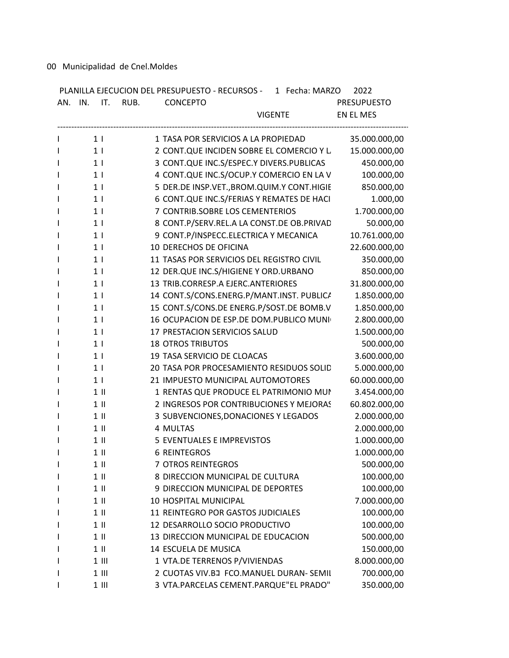00 Municipalidad de Cnel.Moldes

| AN. IN. IT. RUB. | PLANILLA EJECUCION DEL PRESUPUESTO - RECURSOS - 1 Fecha: MARZO<br><b>CONCEPTO</b> | 2022<br><b>PRESUPUESTO</b> |
|------------------|-----------------------------------------------------------------------------------|----------------------------|
|                  | <b>VIGENTE</b>                                                                    | EN EL MES                  |
|                  |                                                                                   |                            |
| 1 <sub>1</sub>   | 1 TASA POR SERVICIOS A LA PROPIEDAD                                               | 35.000.000,00              |
| 1 <sub>1</sub>   | 2 CONT.QUE INCIDEN SOBRE EL COMERCIO Y L                                          | 15.000.000,00              |
| 1 <sup>1</sup>   | 3 CONT.QUE INC.S/ESPEC.Y DIVERS.PUBLICAS                                          | 450.000,00                 |
| 1 <sub>1</sub>   | 4 CONT.QUE INC.S/OCUP.Y COMERCIO EN LA V                                          | 100.000,00                 |
| 1 <sub>1</sub>   | 5 DER.DE INSP.VET., BROM. QUIM. Y CONT. HIGIE                                     | 850.000,00                 |
| 1 <sub>1</sub>   | 6 CONT.QUE INC.S/FERIAS Y REMATES DE HACI                                         | 1.000,00                   |
| 1 <sub>1</sub>   | 7 CONTRIB.SOBRE LOS CEMENTERIOS                                                   | 1.700.000,00               |
| 1 <sup>1</sup>   | 8 CONT.P/SERV.REL.A LA CONST.DE OB.PRIVAD                                         | 50.000,00                  |
| 1 <sub>1</sub>   | 9 CONT.P/INSPECC.ELECTRICA Y MECANICA                                             | 10.761.000,00              |
| 1 <sub>1</sub>   | 10 DERECHOS DE OFICINA                                                            | 22.600.000,00              |
| 1 <sub>1</sub>   | 11 TASAS POR SERVICIOS DEL REGISTRO CIVIL                                         | 350.000,00                 |
| 1 <sup>1</sup>   | 12 DER.QUE INC.S/HIGIENE Y ORD.URBANO                                             | 850.000,00                 |
| 1 <sup>1</sup>   | 13 TRIB.CORRESP.A EJERC.ANTERIORES                                                | 31.800.000,00              |
| 1 <sub>1</sub>   | 14 CONT.S/CONS.ENERG.P/MANT.INST. PUBLICA                                         | 1.850.000,00               |
| 1 <sub>1</sub>   | 15 CONT.S/CONS.DE ENERG.P/SOST.DE BOMB.V                                          | 1.850.000,00               |
| 1 <sub>1</sub>   | 16 OCUPACION DE ESP.DE DOM.PUBLICO MUNI                                           | 2.800.000,00               |
| 1 <sub>1</sub>   | 17 PRESTACION SERVICIOS SALUD                                                     | 1.500.000,00               |
| 1 <sub>1</sub>   | <b>18 OTROS TRIBUTOS</b>                                                          | 500.000,00                 |
| 1 <sub>1</sub>   | 19 TASA SERVICIO DE CLOACAS                                                       | 3.600.000,00               |
| 1 <sup>1</sup>   | 20 TASA POR PROCESAMIENTO RESIDUOS SOLID                                          | 5.000.000,00               |
| 1 <sub>1</sub>   | 21 IMPUESTO MUNICIPAL AUTOMOTORES                                                 | 60.000.000,00              |
| $1$ II           | 1 RENTAS QUE PRODUCE EL PATRIMONIO MUN                                            | 3.454.000,00               |
| $1 \parallel$    | 2 INGRESOS POR CONTRIBUCIONES Y MEJORAS                                           | 60.802.000,00              |
| $1$ II           | 3 SUBVENCIONES, DONACIONES Y LEGADOS                                              | 2.000.000,00               |
| $1$ II           | 4 MULTAS                                                                          | 2.000.000,00               |
| $1 \parallel$    | 5 EVENTUALES E IMPREVISTOS                                                        | 1.000.000,00               |
| $1$ II           | <b>6 REINTEGROS</b>                                                               | 1.000.000,00               |
| $1$ II           | 7 OTROS REINTEGROS                                                                | 500.000,00                 |
| $1$ II           | 8 DIRECCION MUNICIPAL DE CULTURA                                                  | 100.000,00                 |
| $1$ II           | 9 DIRECCION MUNICIPAL DE DEPORTES                                                 | 100.000,00                 |
| $1$ II           | 10 HOSPITAL MUNICIPAL                                                             | 7.000.000,00               |
| $1$ II           | 11 REINTEGRO POR GASTOS JUDICIALES                                                | 100.000,00                 |
| $1$ II           | 12 DESARROLLO SOCIO PRODUCTIVO                                                    | 100.000,00                 |
| $1$ II           | 13 DIRECCION MUNICIPAL DE EDUCACION                                               | 500.000,00                 |
| $1$ II           | 14 ESCUELA DE MUSICA                                                              |                            |
|                  |                                                                                   | 150.000,00                 |
| $1$ III          | 1 VTA.DE TERRENOS P/VIVIENDAS                                                     | 8.000.000,00               |
| $1$ III          | 2 CUOTAS VIV.BJ FCO.MANUEL DURAN- SEMIL                                           | 700.000,00                 |
| $1$ III          | 3 VTA.PARCELAS CEMENT.PARQUE"EL PRADO"                                            | 350.000,00                 |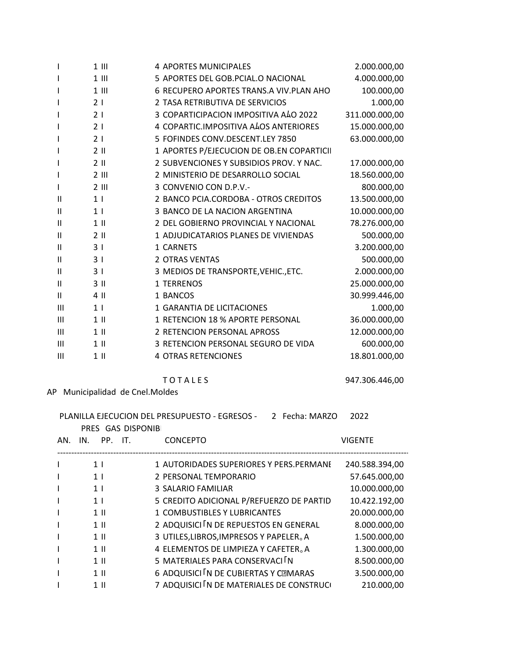| 1              | $1$ III        | <b>4 APORTES MUNICIPALES</b>              | 2.000.000,00   |
|----------------|----------------|-------------------------------------------|----------------|
|                | $1$ III        | 5 APORTES DEL GOB.PCIAL.O NACIONAL        | 4.000.000,00   |
| I              | $1$ III        | 6 RECUPERO APORTES TRANS.A VIV.PLAN AHO   | 100.000,00     |
| ı              | 21             | 2 TASA RETRIBUTIVA DE SERVICIOS           | 1.000,00       |
| I              | 21             | 3 COPARTICIPACION IMPOSITIVA ALO 2022     | 311.000.000,00 |
| ı              | 21             | 4 COPARTIC.IMPOSITIVA ALOS ANTERIORES     | 15.000.000,00  |
| ı              | 21             | 5 FOFINDES CONV.DESCENT.LEY 7850          | 63.000.000,00  |
| ı              | $2$ II         | 1 APORTES P/EJECUCION DE OB.EN COPARTICII |                |
| ı              | $2$ II         | 2 SUBVENCIONES Y SUBSIDIOS PROV. Y NAC.   | 17.000.000,00  |
| ı              | $2$ III        | 2 MINISTERIO DE DESARROLLO SOCIAL         | 18.560.000,00  |
| I              | $2$ III        | 3 CONVENIO CON D.P.V.-                    | 800.000,00     |
| $\mathbf{H}$   | 1 <sub>1</sub> | 2 BANCO PCIA.CORDOBA - OTROS CREDITOS     | 13.500.000,00  |
| Ш              | 1 <sub>1</sub> | 3 BANCO DE LA NACION ARGENTINA            | 10.000.000,00  |
| Ш              | $1$ II         | 2 DEL GOBIERNO PROVINCIAL Y NACIONAL      | 78.276.000,00  |
| Ш              | $2$ II         | 1 ADJUDICATARIOS PLANES DE VIVIENDAS      | 500.000,00     |
| Ш              | 3 <sub>1</sub> | 1 CARNETS                                 | 3.200.000,00   |
| Ш              | 3 <sub>1</sub> | 2 OTRAS VENTAS                            | 500.000,00     |
| Ш              | 31             | 3 MEDIOS DE TRANSPORTE, VEHIC., ETC.      | 2.000.000,00   |
| Ш              | $3$ II         | 1 TERRENOS                                | 25.000.000,00  |
| Ш              | 4 II           | 1 BANCOS                                  | 30.999.446,00  |
| $\mathsf{III}$ | 1 <sub>1</sub> | 1 GARANTIA DE LICITACIONES                | 1.000,00       |
| $\mathsf{III}$ | $1$ II         | 1 RETENCION 18 % APORTE PERSONAL          | 36.000.000,00  |
| Ш              | $1$ II         | 2 RETENCION PERSONAL APROSS               | 12.000.000,00  |
| Ш              | $1$ II         | 3 RETENCION PERSONAL SEGURO DE VIDA       | 600.000,00     |
| $\mathsf{III}$ | $1$ II         | <b>4 OTRAS RETENCIONES</b>                | 18.801.000,00  |

## **TOTALES**

## AP Municipalidad de Cnel.Moldes

|     |                |                   | PLANILLA EJECUCION DEL PRESUPUESTO - EGRESOS -<br>2 Fecha: MARZO | 2022           |
|-----|----------------|-------------------|------------------------------------------------------------------|----------------|
|     |                | PRES GAS DISPONIB |                                                                  |                |
| AN. | IN.            | PP. IT.           | <b>CONCEPTO</b>                                                  | <b>VIGENTE</b> |
|     | 1 <sup>1</sup> |                   | 1 AUTORIDADES SUPERIORES Y PERS.PERMANE                          | 240.588.394,00 |
|     | 1 <sup>1</sup> |                   | 2 PERSONAL TEMPORARIO                                            | 57.645.000,00  |
|     | 1 <sup>1</sup> |                   | 3 SALARIO FAMILIAR                                               | 10.000.000,00  |
|     | 1 <sup>1</sup> |                   | 5 CREDITO ADICIONAL P/REFUERZO DE PARTID                         | 10.422.192,00  |
|     | $1 \parallel$  |                   | 1 COMBUSTIBLES Y LUBRICANTES                                     | 20.000.000,00  |
|     | $1 \parallel$  |                   | 2 ADQUISICI N DE REPUESTOS EN GENERAL                            | 8.000.000,00   |
|     | $1 \parallel$  |                   | 3 UTILES, LIBROS, IMPRESOS Y PAPELER. A                          | 1.500.000,00   |
|     | $1 \parallel$  |                   | 4 ELEMENTOS DE LIMPIEZA Y CAFETER. A                             | 1.300.000,00   |
|     | $1 \parallel$  |                   | 5 MATERIALES PARA CONSERVACI N                                   | 8.500.000,00   |
|     | $1 \parallel$  |                   | 6 ADQUISICI IN DE CUBIERTAS Y CEMARAS                            | 3.500.000,00   |
|     | $1$ II         |                   | 7 ADQUISICI IN DE MATERIALES DE CONSTRUCI                        | 210.000,00     |

947.306.446,00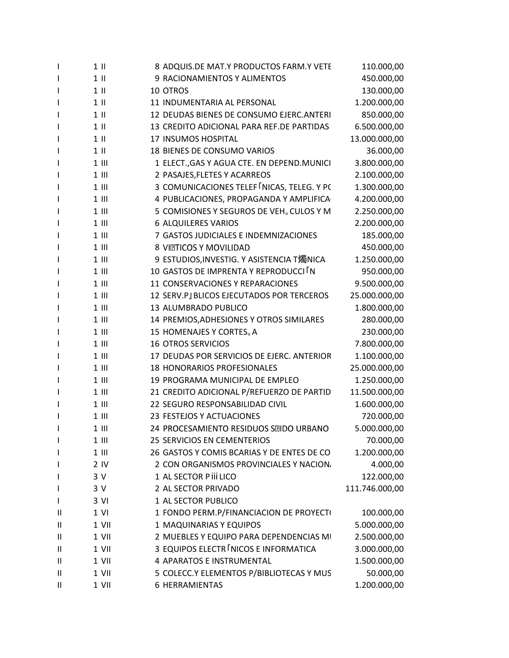| $\mathbf{I}$ | $1$ II          | 8 ADQUIS.DE MAT.Y PRODUCTOS FARM.Y VETE              | 110.000,00     |
|--------------|-----------------|------------------------------------------------------|----------------|
| $\mathbf{I}$ | $1$ II          | 9 RACIONAMIENTOS Y ALIMENTOS                         | 450.000,00     |
| $\mathbf{I}$ | $1$ II          | 10 OTROS                                             | 130.000,00     |
| $\mathbf{I}$ | $1$ II          | 11 INDUMENTARIA AL PERSONAL                          | 1.200.000,00   |
| $\mathbf{I}$ | $1$ II          | 12 DEUDAS BIENES DE CONSUMO EJERC.ANTERI             | 850.000,00     |
| $\mathbf{I}$ | $1$ II          | 13 CREDITO ADICIONAL PARA REF.DE PARTIDAS            | 6.500.000,00   |
| J.           | $1$ II          | 17 INSUMOS HOSPITAL                                  | 13.000.000,00  |
| $\mathbf{I}$ | $1$ II          | 18 BIENES DE CONSUMO VARIOS                          | 36.000,00      |
| I            | $1$ III         | 1 ELECT., GAS Y AGUA CTE. EN DEPEND. MUNICI          | 3.800.000,00   |
| $\mathbf{I}$ | $1$ III         | 2 PASAJES, FLETES Y ACARREOS                         | 2.100.000,00   |
| $\mathbf{I}$ | $1$ III         | 3 COMUNICACIONES TELEF NICAS, TELEG. Y PC            | 1.300.000,00   |
| $\mathsf{l}$ | $1$ III         | 4 PUBLICACIONES, PROPAGANDA Y AMPLIFICA              | 4.200.000,00   |
| $\mathbf{I}$ | $1$ III         | 5 COMISIONES Y SEGUROS DE VEH <sub>o</sub> CULOS Y M | 2.250.000,00   |
| J.           | $1$ III         | <b>6 ALQUILERES VARIOS</b>                           | 2.200.000,00   |
| $\mathbf{I}$ | $1$ III         | 7 GASTOS JUDICIALES E INDEMNIZACIONES                | 185.000,00     |
| $\mathbf{I}$ | $1$ III         | 8 VITTICOS Y MOVILIDAD                               | 450.000,00     |
| <sup>1</sup> | $1$ III         | 9 ESTUDIOS, INVESTIG. Y ASISTENCIA T燭NICA            | 1.250.000,00   |
| I            | $1$ III         | 10 GASTOS DE IMPRENTA Y REPRODUCCI IN                | 950.000,00     |
| J.           | $1$ III         | 11 CONSERVACIONES Y REPARACIONES                     | 9.500.000,00   |
| $\mathbf{I}$ | $1$ III         | 12 SERV.PJ BLICOS EJECUTADOS POR TERCEROS            | 25.000.000,00  |
| I.           | $1$ III         | 13 ALUMBRADO PUBLICO                                 | 1.800.000,00   |
| J.           | $1$ III         | 14 PREMIOS, ADHESIONES Y OTROS SIMILARES             | 280.000,00     |
| J.           | $1$ III         | 15 HOMENAJES Y CORTES <sub>o</sub> A                 | 230.000,00     |
| J.           | $1$ III         | <b>16 OTROS SERVICIOS</b>                            | 7.800.000,00   |
| $\mathbf{I}$ | $1$ III         | 17 DEUDAS POR SERVICIOS DE EJERC. ANTERIOR           | 1.100.000,00   |
| J.           | $1$ III         | 18 HONORARIOS PROFESIONALES                          | 25.000.000,00  |
| <sup>1</sup> | $1$ III         | 19 PROGRAMA MUNICIPAL DE EMPLEO                      | 1.250.000,00   |
| J.           | $1$ III         | 21 CREDITO ADICIONAL P/REFUERZO DE PARTID            | 11.500.000,00  |
| $\mathbf{I}$ | $1$ III         | 22 SEGURO RESPONSABILIDAD CIVIL                      | 1.600.000,00   |
| $\mathbf{I}$ | $1$ III         | 23 FESTEJOS Y ACTUACIONES                            | 720.000,00     |
| <sup>1</sup> | $1$ III         | 24 PROCESAMIENTO RESIDUOS SEIDO URBANO               | 5.000.000,00   |
| J.           | $1$ III         | <b>25 SERVICIOS EN CEMENTERIOS</b>                   | 70.000,00      |
| $\mathbf{I}$ | $1$ III         | 26 GASTOS Y COMIS BCARIAS Y DE ENTES DE CO           | 1.200.000,00   |
| $\mathbf{I}$ | 2 <sub>IV</sub> | 2 CON ORGANISMOS PROVINCIALES Y NACION,              | 4.000,00       |
| J.           | 3V              | 1 AL SECTOR P iii LICO                               | 122.000,00     |
| $\mathbf{I}$ | 3 V             | 2 AL SECTOR PRIVADO                                  | 111.746.000,00 |
| I            | 3 VI            | 1 AL SECTOR PUBLICO                                  |                |
| $\mathbf{H}$ | $1$ VI          | 1 FONDO PERM.P/FINANCIACION DE PROYECT(              | 100.000,00     |
| $\mathbf{H}$ | 1 VII           | 1 MAQUINARIAS Y EQUIPOS                              | 5.000.000,00   |
| Ш            | 1 VII           | 2 MUEBLES Y EQUIPO PARA DEPENDENCIAS MI              | 2.500.000,00   |
| Ш            | 1 VII           | 3 EQUIPOS ELECTR INICOS E INFORMATICA                | 3.000.000,00   |
| $\mathbf{H}$ | 1 VII           | 4 APARATOS E INSTRUMENTAL                            | 1.500.000,00   |
| Ш            | 1 VII           | 5 COLECC.Y ELEMENTOS P/BIBLIOTECAS Y MUS             | 50.000,00      |
| Ш            | 1 VII           | <b>6 HERRAMIENTAS</b>                                | 1.200.000,00   |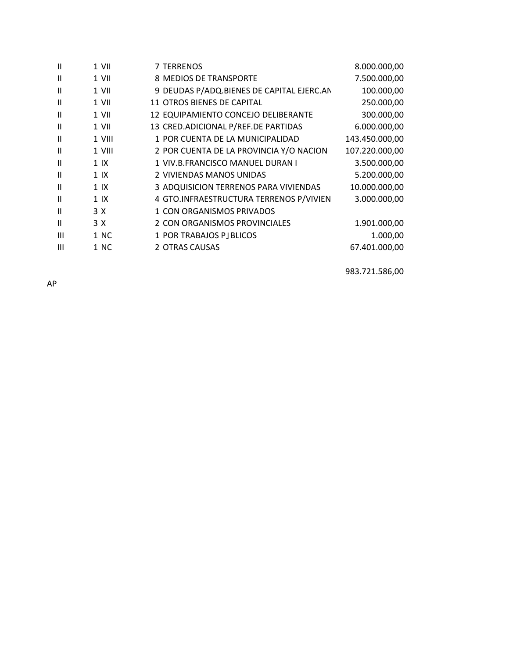| $\mathbf{H}$  | $1$ VII        | 7 TERRENOS                                | 8.000.000,00   |
|---------------|----------------|-------------------------------------------|----------------|
| Ш             | 1 VII          | 8 MEDIOS DE TRANSPORTE                    | 7.500.000,00   |
| Ш             | $1$ VII        | 9 DEUDAS P/ADQ.BIENES DE CAPITAL EJERC.AN | 100.000,00     |
| $\mathbf{H}$  | $1$ VII        | 11 OTROS BIENES DE CAPITAL                | 250.000,00     |
| Ш             | 1 VII          | 12 EQUIPAMIENTO CONCEJO DELIBERANTE       | 300.000,00     |
| Ш             | 1 VII          | 13 CRED.ADICIONAL P/REF.DE PARTIDAS       | 6.000.000,00   |
| $\mathbf{H}$  | 1 VIII         | 1 POR CUENTA DE LA MUNICIPALIDAD          | 143.450.000,00 |
| Ш             | 1 VIII         | 2 POR CUENTA DE LA PROVINCIA Y/O NACION   | 107.220.000,00 |
| $\mathsf{II}$ | 1 <sup>1</sup> | 1 VIV.B.FRANCISCO MANUEL DURAN I          | 3.500.000,00   |
| $\mathbf{H}$  | 1 <sup>1</sup> | 2 VIVIENDAS MANOS UNIDAS                  | 5.200.000,00   |
| Ш             | 1 <sup>1</sup> | 3 ADQUISICION TERRENOS PARA VIVIENDAS     | 10.000.000,00  |
| $\mathbf{H}$  | 1 <sup>1</sup> | 4 GTO.INFRAESTRUCTURA TERRENOS P/VIVIEN   | 3.000.000,00   |
| $\mathbf{H}$  | 3 X            | 1 CON ORGANISMOS PRIVADOS                 |                |
| Ш             | 3 X            | 2 CON ORGANISMOS PROVINCIALES             | 1.901.000,00   |
| Ш             | 1 NC           | 1 POR TRABAJOS PJ BLICOS                  | 1.000,00       |
| Ш             | 1 NC           | 2 OTRAS CAUSAS                            | 67.401.000,00  |
|               |                |                                           |                |

983.721.586,00

AP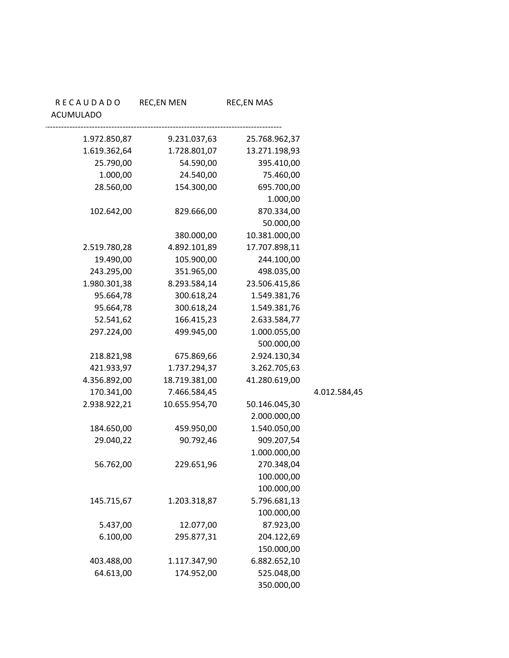| RECAUDADO<br><b>ACUMULADO</b> | <b>REC,EN MEN</b>                         | <b>REC,EN MAS</b>                        |
|-------------------------------|-------------------------------------------|------------------------------------------|
|                               | 1.972.850,87<br>9.231.037,63              | 25.768.962,37                            |
|                               | 1.619.362,64<br>1.728.801,07              | 13.271.198,93                            |
|                               | 25.790,00                                 | 54.590,00<br>395.410,00                  |
|                               | 1.000,00                                  | 24.540,00<br>75.460,00                   |
|                               | 28.560,00                                 | 695.700,00<br>154.300,00                 |
|                               |                                           | 1.000,00                                 |
|                               | 102.642,00                                | 829.666,00<br>870.334,00                 |
|                               |                                           | 50.000,00                                |
|                               |                                           | 10.381.000,00<br>380.000,00              |
|                               | 2.519.780,28<br>4.892.101,89              | 17.707.898,11                            |
|                               | 19.490,00                                 | 105.900,00<br>244.100,00                 |
|                               | 243.295,00                                | 351.965,00<br>498.035,00                 |
|                               | 1.980.301,38<br>8.293.584,14<br>95.664,78 | 23.506.415,86                            |
|                               | 95.664,78                                 | 300.618,24<br>1.549.381,76<br>300.618,24 |
|                               | 52.541,62<br>166.415,23                   | 1.549.381,76<br>2.633.584,77             |
|                               | 297.224,00<br>499.945,00                  | 1.000.055,00                             |
|                               |                                           | 500.000,00                               |
|                               | 218.821,98                                | 675.869,66<br>2.924.130,34               |
|                               | 421.933,97<br>1.737.294,37                | 3.262.705,63                             |
|                               | 4.356.892,00<br>18.719.381,00             | 41.280.619,00                            |
|                               | 170.341,00<br>7.466.584,45                |                                          |
|                               | 2.938.922,21<br>10.655.954,70             | 50.146.045,30                            |
|                               |                                           | 2.000.000,00                             |
|                               | 184.650,00<br>459.950,00                  | 1.540.050,00                             |
|                               | 29.040,22                                 | 909.207,54<br>90.792,46                  |
|                               |                                           | 1.000.000,00                             |
|                               | 56.762,00                                 | 229.651,96<br>270.348,04                 |
|                               |                                           | 100.000,00                               |
|                               |                                           | 100.000,00                               |
|                               | 145.715,67<br>1.203.318,87                | 5.796.681,13                             |
|                               |                                           | 100.000,00                               |
|                               | 5.437,00                                  | 87.923,00<br>12.077,00                   |
|                               | 6.100,00                                  | 295.877,31<br>204.122,69                 |
|                               |                                           | 150.000,00                               |
|                               | 403.488,00<br>1.117.347,90                | 6.882.652,10                             |
|                               | 64.613,00                                 | 174.952,00<br>525.048,00                 |
|                               |                                           | 350.000,00                               |

4.012.584,45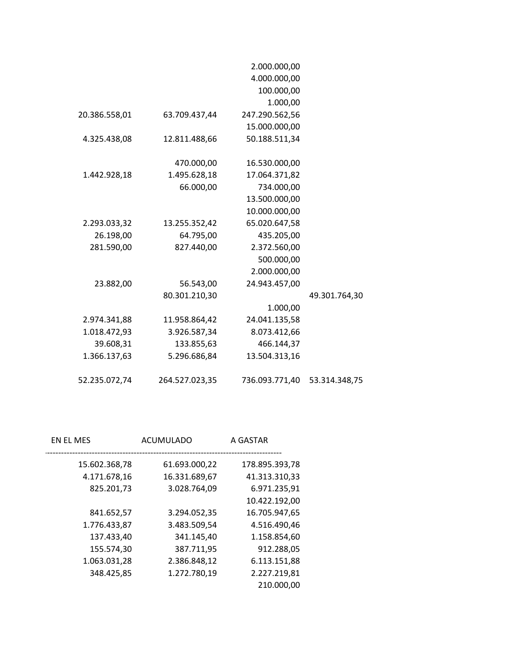|               |                | 2.000.000,00   |               |
|---------------|----------------|----------------|---------------|
|               |                | 4.000.000,00   |               |
|               |                | 100.000,00     |               |
|               |                | 1.000,00       |               |
| 20.386.558,01 | 63.709.437,44  | 247.290.562,56 |               |
|               |                | 15.000.000,00  |               |
| 4.325.438,08  | 12.811.488,66  | 50.188.511,34  |               |
|               |                |                |               |
|               | 470.000,00     | 16.530.000,00  |               |
| 1.442.928,18  | 1.495.628,18   | 17.064.371,82  |               |
|               | 66.000,00      | 734.000,00     |               |
|               |                | 13.500.000,00  |               |
|               |                | 10.000.000,00  |               |
| 2.293.033,32  | 13.255.352,42  | 65.020.647,58  |               |
| 26.198,00     | 64.795,00      | 435.205,00     |               |
| 281.590,00    | 827.440,00     | 2.372.560,00   |               |
|               |                | 500.000,00     |               |
|               |                | 2.000.000,00   |               |
| 23.882,00     | 56.543,00      | 24.943.457,00  |               |
|               | 80.301.210,30  |                | 49.301.764,30 |
|               |                | 1.000,00       |               |
| 2.974.341,88  | 11.958.864,42  | 24.041.135,58  |               |
| 1.018.472,93  | 3.926.587,34   | 8.073.412,66   |               |
| 39.608,31     | 133.855,63     | 466.144,37     |               |
| 1.366.137,63  | 5.296.686,84   | 13.504.313,16  |               |
|               |                |                |               |
| 52.235.072,74 | 264.527.023,35 | 736.093.771,40 | 53.314.348,75 |

| A GASTAR       | ACUMULADO     | EN EL MES     |
|----------------|---------------|---------------|
| 178.895.393,78 | 61.693.000,22 | 15.602.368,78 |
| 41.313.310,33  | 16.331.689,67 | 4.171.678,16  |
| 6.971.235,91   | 3.028.764,09  | 825.201,73    |
| 10.422.192,00  |               |               |
| 16.705.947,65  | 3.294.052,35  | 841.652,57    |
| 4.516.490,46   | 3.483.509,54  | 1.776.433,87  |
| 1.158.854,60   | 341.145,40    | 137.433,40    |
| 912.288,05     | 387.711,95    | 155.574,30    |
| 6.113.151,88   | 2.386.848,12  | 1.063.031,28  |
| 2.227.219,81   | 1.272.780,19  | 348.425,85    |
| 210.000,00     |               |               |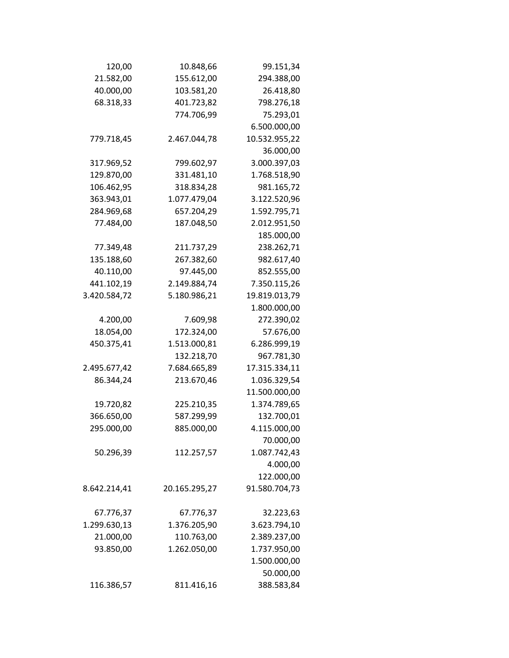| 120,00       | 10.848,66     | 99.151,34     |
|--------------|---------------|---------------|
| 21.582,00    | 155.612,00    | 294.388,00    |
| 40.000,00    | 103.581,20    | 26.418,80     |
| 68.318,33    | 401.723,82    | 798.276,18    |
|              | 774.706,99    | 75.293,01     |
|              |               | 6.500.000,00  |
| 779.718,45   | 2.467.044,78  | 10.532.955,22 |
|              |               | 36.000,00     |
| 317.969,52   | 799.602,97    | 3.000.397,03  |
| 129.870,00   | 331.481,10    | 1.768.518,90  |
| 106.462,95   | 318.834,28    | 981.165,72    |
| 363.943,01   | 1.077.479,04  | 3.122.520,96  |
| 284.969,68   | 657.204,29    | 1.592.795,71  |
| 77.484,00    | 187.048,50    | 2.012.951,50  |
|              |               | 185.000,00    |
| 77.349,48    | 211.737,29    | 238.262,71    |
| 135.188,60   | 267.382,60    | 982.617,40    |
| 40.110,00    | 97.445,00     | 852.555,00    |
| 441.102,19   | 2.149.884,74  | 7.350.115,26  |
| 3.420.584,72 | 5.180.986,21  | 19.819.013,79 |
|              |               | 1.800.000,00  |
| 4.200,00     | 7.609,98      | 272.390,02    |
| 18.054,00    | 172.324,00    | 57.676,00     |
| 450.375,41   | 1.513.000,81  | 6.286.999,19  |
|              | 132.218,70    | 967.781,30    |
| 2.495.677,42 | 7.684.665,89  | 17.315.334,11 |
| 86.344,24    | 213.670,46    | 1.036.329,54  |
|              |               | 11.500.000,00 |
| 19.720,82    | 225.210,35    | 1.374.789,65  |
| 366.650,00   | 587.299,99    | 132.700,01    |
| 295.000,00   | 885.000,00    | 4.115.000,00  |
|              |               | 70.000,00     |
| 50.296,39    | 112.257,57    | 1.087.742,43  |
|              |               | 4.000,00      |
|              |               | 122.000,00    |
| 8.642.214,41 | 20.165.295,27 | 91.580.704,73 |
| 67.776,37    | 67.776,37     | 32.223,63     |
| 1.299.630,13 | 1.376.205,90  | 3.623.794,10  |
| 21.000,00    | 110.763,00    | 2.389.237,00  |
| 93.850,00    | 1.262.050,00  | 1.737.950,00  |
|              |               | 1.500.000,00  |
|              |               | 50.000,00     |
| 116.386,57   | 811.416,16    | 388.583,84    |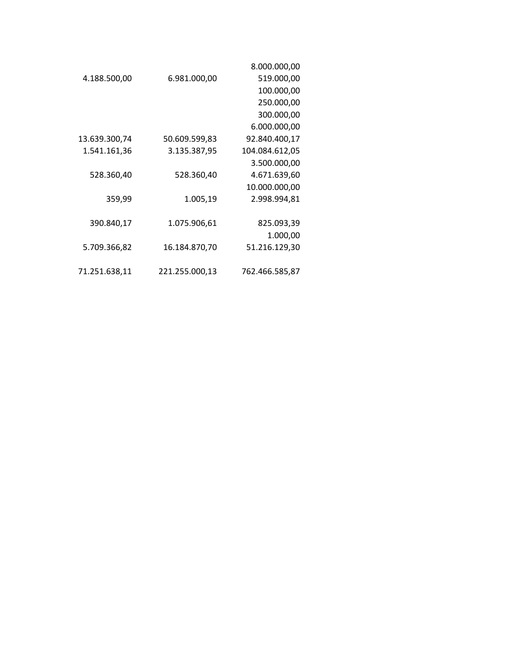|               |                | 8.000.000,00   |
|---------------|----------------|----------------|
| 4.188.500,00  | 6.981.000,00   | 519.000,00     |
|               |                | 100.000,00     |
|               |                | 250.000,00     |
|               |                | 300.000,00     |
|               |                | 6.000.000,00   |
| 13.639.300,74 | 50.609.599,83  | 92.840.400,17  |
| 1.541.161,36  | 3.135.387,95   | 104.084.612,05 |
|               |                | 3.500.000,00   |
| 528.360,40    | 528.360,40     | 4.671.639,60   |
|               |                | 10.000.000,00  |
| 359,99        | 1.005,19       | 2.998.994,81   |
|               |                |                |
| 390.840,17    | 1.075.906,61   | 825.093,39     |
|               |                | 1.000,00       |
| 5.709.366,82  | 16.184.870,70  | 51.216.129,30  |
|               |                |                |
| 71.251.638,11 | 221.255.000,13 | 762.466.585,87 |